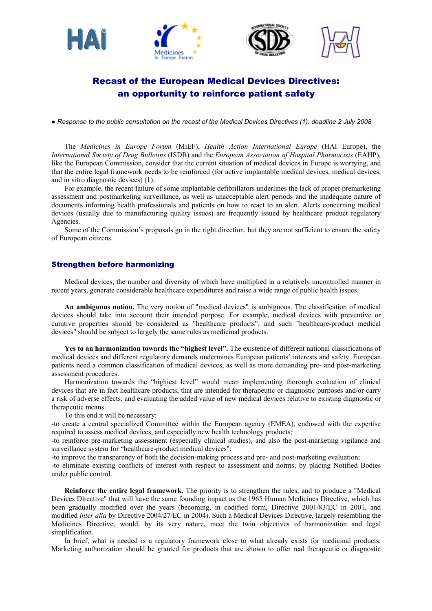





# Recast of the European Medical Devices Directives: an opportunity to reinforce patient safety

*● Response to the public consultation on the recast of the Medical Devices Directives (1); deadline 2 July 2008* 

The *Medicines in Europe Forum* (MiEF), *Health Action International Europe* (HAI Europe), the *International Society of Drug Bulletins* (ISDB) and the *European Association of Hospital Pharmacists* (EAHP), like the European Commission, consider that the current situation of medical devices in Europe is worrying, and that the entire legal framework needs to be reinforced (for active implantable medical devices, medical devices, and in vitro diagnostic devices) (1).

For example, the recent failure of some implantable defibrillators underlines the lack of proper premarketing assessment and postmarketing surveillance, as well as unacceptable alert periods and the inadequate nature of documents informing health professionals and patients on how to react to an alert. Alerts concerning medical devices (usually due to manufacturing quality issues) are frequently issued by healthcare product regulatory Agencies.

Some of the Commission's proposals go in the right direction, but they are not sufficient to ensure the safety of European citizens.

### Strengthen before harmonizing

Medical devices, the number and diversity of which have multiplied in a relatively uncontrolled manner in recent years, generate considerable healthcare expenditures and raise a wide range of public health issues.

**An ambiguous notion.** The very notion of "medical devices" is ambiguous. The classification of medical devices should take into account their intended purpose. For example, medical devices with preventive or curative properties should be considered as "healthcare products", and such "healthcare-product medical devices" should be subject to largely the same rules as medicinal products.

Yes to an harmonization towards the "highest level". The existence of different national classifications of medical devices and different regulatory demands undermines European patientsí interests and safety. European patients need a common classification of medical devices, as well as more demanding pre- and post-marketing assessment procedures.

Harmonization towards the "highiest level" would mean implementing thorough evaluation of clinical devices that are in fact healthcare products, that are intended for therapeutic or diagnostic purposes and/or carry a risk of adverse effects; and evaluating the added value of new medical devices relative to existing diagnostic or therapeutic means.

To this end it will be necessary:

-to create a central specialized Committee within the European agency (EMEA), endowed with the expertise required to assess medical devices, and especially new health technology products;

-to reinforce pre-marketing assessment (especially clinical studies), and also the post-marketing vigilance and surveillance system for "healthcare-product medical devices";

-to improve the transparency of both the decision-making process and pre- and post-marketing evaluation;

-to eliminate existing conflicts of interest with respect to assessment and norms, by placing Notified Bodies under public control.

**Reinforce the entire legal framework.** The priority is to strengthen the rules, and to produce a "Medical Devices Directive" that will have the same founding impact as the 1965 Human Medicines Directive, which has been gradually modified over the years (becoming, in codified form, Directive 2001/83/EC in 2001, and modified *inter alia* by Directive 2004/27/EC in 2004). Such a Medical Devices Directive, largely resembling the Medicines Directive, would, by its very nature, meet the twin objectives of harmonization and legal simplification.

In brief, what is needed is a regulatory framework close to what already exists for medicinal products. Marketing authorization should be granted for products that are shown to offer real therapeutic or diagnostic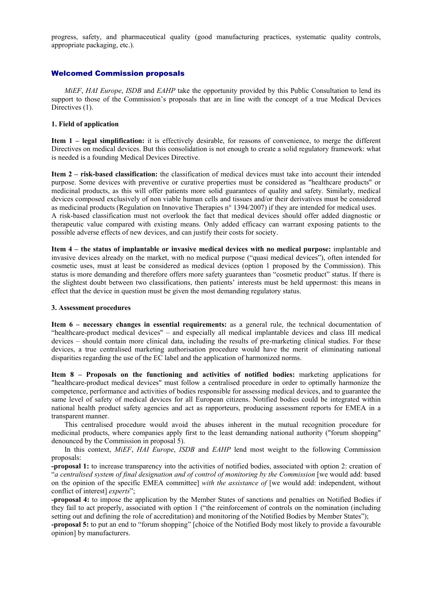progress, safety, and pharmaceutical quality (good manufacturing practices, systematic quality controls, appropriate packaging, etc.).

## Welcomed Commission proposals

*MiEF*, *HAI Europe*, *ISDB* and *EAHP* take the opportunity provided by this Public Consultation to lend its support to those of the Commission's proposals that are in line with the concept of a true Medical Devices Directives (1).

## **1. Field of application**

**Item 1 – legal simplification:** it is effectively desirable, for reasons of convenience, to merge the different Directives on medical devices. But this consolidation is not enough to create a solid regulatory framework: what is needed is a founding Medical Devices Directive.

**Item 2 – risk-based classification:** the classification of medical devices must take into account their intended purpose. Some devices with preventive or curative properties must be considered as "healthcare products" or medicinal products, as this will offer patients more solid guarantees of quality and safety. Similarly, medical devices composed exclusively of non viable human cells and tissues and/or their derivatives must be considered as medicinal products (Regulation on Innovative Therapies n° 1394/2007) if they are intended for medical uses. A risk-based classification must not overlook the fact that medical devices should offer added diagnostic or therapeutic value compared with existing means. Only added efficacy can warrant exposing patients to the possible adverse effects of new devices, and can justify their costs for society.

Item 4 – the status of implantable or invasive medical devices with no medical purpose: implantable and invasive devices already on the market, with no medical purpose ("quasi medical devices"), often intended for cosmetic uses, must at least be considered as medical devices (option 1 proposed by the Commission). This status is more demanding and therefore offers more safety guarantees than "cosmetic product" status. If there is the slightest doubt between two classifications, then patientsí interests must be held uppermost: this means in effect that the device in question must be given the most demanding regulatory status.

#### **3. Assessment procedures**

Item 6 - necessary changes in essential requirements: as a general rule, the technical documentation of "healthcare-product medical devices" - and especially all medical implantable devices and class III medical devices – should contain more clinical data, including the results of pre-marketing clinical studies. For these devices, a true centralised marketing authorisation procedure would have the merit of eliminating national disparities regarding the use of the EC label and the application of harmonized norms.

**Item 8 – Proposals on the functioning and activities of notified bodies:** marketing applications for "healthcare-product medical devices" must follow a centralised procedure in order to optimally harmonize the competence, performance and activities of bodies responsible for assessing medical devices, and to guarantee the same level of safety of medical devices for all European citizens. Notified bodies could be integrated within national health product safety agencies and act as rapporteurs, producing assessment reports for EMEA in a transparent manner.

This centralised procedure would avoid the abuses inherent in the mutual recognition procedure for medicinal products, where companies apply first to the least demanding national authority ("forum shopping" denounced by the Commission in proposal 5).

In this context, *MiEF*, *HAI Europe*, *ISDB* and *EAHP* lend most weight to the following Commission proposals:

**-proposal 1:** to increase transparency into the activities of notified bodies, associated with option 2: creation of ì*a centralised system of final designation and of control of monitoring by the Commission* [we would add: based on the opinion of the specific EMEA committee] *with the assistance of* [we would add: independent, without conflict of interest] *experts*":

**-proposal 4:** to impose the application by the Member States of sanctions and penalties on Notified Bodies if they fail to act properly, associated with option 1 ("the reinforcement of controls on the nomination (including setting out and defining the role of accreditation) and monitoring of the Notified Bodies by Member States";

**-proposal 5:** to put an end to "forum shopping" [choice of the Notified Body most likely to provide a favourable opinion] by manufacturers.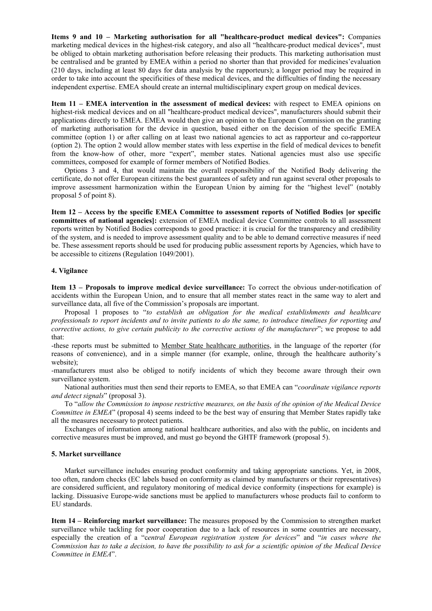Items 9 and 10 – Marketing authorisation for all "healthcare-product medical devices": Companies marketing medical devices in the highest-risk category, and also all "healthcare-product medical devices", must be obliged to obtain marketing authorisation before releasing their products. This marketing authorisation must be centralised and be granted by EMEA within a period no shorter than that provided for medicines' evaluation (210 days, including at least 80 days for data analysis by the rapporteurs); a longer period may be required in order to take into account the specificities of these medical devices, and the difficulties of finding the necessary independent expertise. EMEA should create an internal multidisciplinary expert group on medical devices.

**Item 11 – EMEA intervention in the assessment of medical devices:** with respect to EMEA opinions on highest-risk medical devices and on all "healthcare-product medical devices", manufacturers should submit their applications directly to EMEA. EMEA would then give an opinion to the European Commission on the granting of marketing authorisation for the device in question, based either on the decision of the specific EMEA committee (option 1) or after calling on at least two national agencies to act as rapporteur and co-rapporteur (option 2). The option 2 would allow member states with less expertise in the field of medical devices to benefit from the know-how of other, more "expert", member states. National agencies must also use specific committees, composed for example of former members of Notified Bodies.

Options 3 and 4, that would maintain the overall responsibility of the Notified Body delivering the certificate, do not offer European citizens the best guarantees of safety and run against several other proposals to improve assessment harmonization within the European Union by aiming for the "highest level" (notably proposal 5 of point 8).

Item 12 – Access by the specific EMEA Committee to assessment reports of Notified Bodies [or specific **committees of national agencies]:** extension of EMEA medical device Committee controls to all assessment reports written by Notified Bodies corresponds to good practice: it is crucial for the transparency and credibility of the system, and is needed to improve assessment quality and to be able to demand corrective measures if need be. These assessment reports should be used for producing public assessment reports by Agencies, which have to be accessible to citizens (Regulation 1049/2001).

#### **4. Vigilance**

**Item 13 – Proposals to improve medical device surveillance:** To correct the obvious under-notification of accidents within the European Union, and to ensure that all member states react in the same way to alert and surveillance data, all five of the Commission's proposals are important.

Proposal 1 proposes to *"to establish an obligation for the medical establishments and healthcare professionals to report incidents and to invite patients to do the same, to introduce timelines for reporting and corrective actions, to give certain publicity to the corrective actions of the manufacturer*<sup>?</sup>; we propose to add that:

-these reports must be submitted to Member State healthcare authorities, in the language of the reporter (for reasons of convenience), and in a simple manner (for example, online, through the healthcare authority's website);

-manufacturers must also be obliged to notify incidents of which they become aware through their own surveillance system.

National authorities must then send their reports to EMEA, so that EMEA can *"coordinate vigilance reports and detect signals*î (proposal 3).

To "allow the Commission to impose restrictive measures, on the basis of the opinion of the Medical Device *Committee in EMEA*<sup>*n*</sup> (proposal 4) seems indeed to be the best way of ensuring that Member States rapidly take all the measures necessary to protect patients.

Exchanges of information among national healthcare authorities, and also with the public, on incidents and corrective measures must be improved, and must go beyond the GHTF framework (proposal 5).

#### **5. Market surveillance**

Market surveillance includes ensuring product conformity and taking appropriate sanctions. Yet, in 2008, too often, random checks (EC labels based on conformity as claimed by manufacturers or their representatives) are considered sufficient, and regulatory monitoring of medical device conformity (inspections for example) is lacking. Dissuasive Europe-wide sanctions must be applied to manufacturers whose products fail to conform to EU standards.

**Item 14 – Reinforcing market surveillance:** The measures proposed by the Commission to strengthen market surveillance while tackling for poor cooperation due to a lack of resources in some countries are necessary, especially the creation of a "*central European registration system for devices*" and "*in cases where the Commission has to take a decision, to have the possibility to ask for a scientific opinion of the Medical Device Committee in EMEA*î.